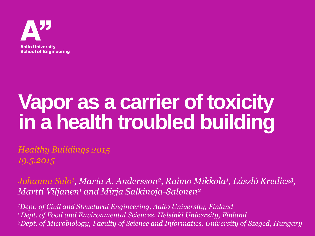

# **Vapor as a carrier of toxicity in a health troubled building**

*Healthy Buildings 2015 19.5.2015*

*Johanna Salo<sup>1</sup> , Maria A. Andersson<sup>2</sup> , Raimo Mikkola<sup>1</sup> , László Kredics<sup>3</sup> , Martti Viljanen<sup>1</sup> and Mirja Salkinoja-Salonen<sup>2</sup>*

*<sup>1</sup>Dept. of Civil and Structural Engineering, Aalto University, Finland <sup>2</sup>Dept. of Food and Environmental Sciences, Helsinki University, Finland <sup>3</sup>Dept. of Microbiology, Faculty of Science and Informatics, University of Szeged, Hungary*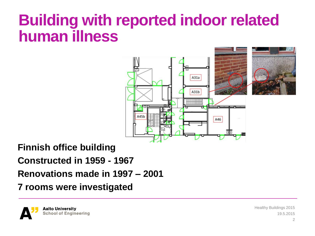### **Building with reported indoor related human illness**



**Finnish office building Constructed in 1959 - 1967 Renovations made in 1997 – 2001 7 rooms were investigated**

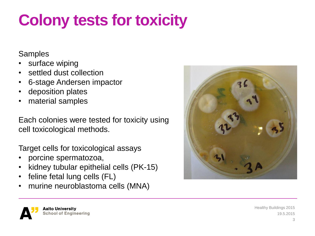## **Colony tests for toxicity**

#### **Samples**

- surface wiping
- settled dust collection
- 6-stage Andersen impactor
- deposition plates
- material samples

Each colonies were tested for toxicity using cell toxicological methods.

Target cells for toxicological assays

- porcine spermatozoa,
- kidney tubular epithelial cells (PK-15)
- feline fetal lung cells (FL)
- murine neuroblastoma cells (MNA)



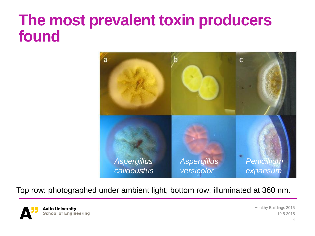### **The most prevalent toxin producers found**



Top row: photographed under ambient light; bottom row: illuminated at 360 nm.

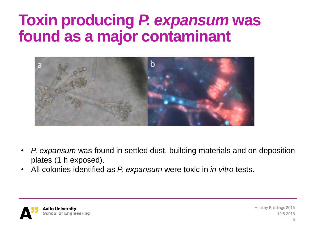### **Toxin producing** *P. expansum* **was found as a major contaminant**



- *P. expansum* was found in settled dust, building materials and on deposition plates (1 h exposed).
- All colonies identified as *P. expansum* were toxic in *in vitro* tests.

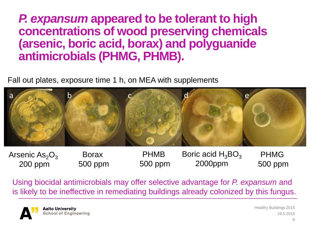#### *P. expansum* **appeared to be tolerant to high concentrations of wood preserving chemicals (arsenic, boric acid, borax) and polyguanide antimicrobials (PHMG, PHMB).**

Fall out plates, exposure time 1 h, on MEA with supplements



Arsenic  $As_2O_3$ 200 ppm

Borax 500 ppm

PHMB 500 ppm

Boric acid  $H_3BO_3$ 2000ppm

PHMG 500 ppm

Using biocidal antimicrobials may offer selective advantage for *P. expansum* and is likely to be ineffective in remediating buildings already colonized by this fungus.

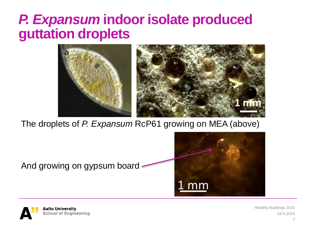### *P. Expansum* **indoor isolate produced guttation droplets**



The droplets of *P. Expansum* RcP61 growing on MEA (above)

And growing on gypsum board



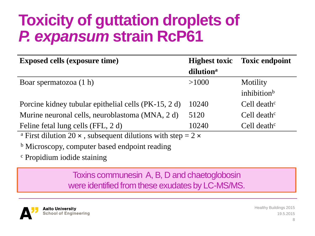### **Toxicity of guttation droplets of**  *P. expansum* **strain RcP61**

| <b>Exposed cells (exposure time)</b>                                                  | <b>Highest toxic</b>  | <b>Toxic endpoint</b>   |
|---------------------------------------------------------------------------------------|-----------------------|-------------------------|
|                                                                                       | dilution <sup>a</sup> |                         |
| Boar spermatozoa (1 h)                                                                | >1000                 | Motility                |
|                                                                                       |                       | inhibition <sup>b</sup> |
| Porcine kidney tubular epithelial cells (PK-15, 2 d)                                  | 10240                 | Cell death $\rm ^c$     |
| Murine neuronal cells, neuroblastoma (MNA, 2 d)                                       | 5120                  | Cell death $\rm ^c$     |
| Feline fetal lung cells (FFL, 2 d)                                                    | 10240                 | Cell death $\rm ^c$     |
| <sup>a</sup> First dilution 20 $\times$ , subsequent dilutions with step = 2 $\times$ |                       |                         |
| <sup>b</sup> Microscopy, computer based endpoint reading                              |                       |                         |
| <sup>c</sup> Propidium iodide staining                                                |                       |                         |

Toxins communesin A, B, D and chaetoglobosin were identified from these exudates by LC-MS/MS.

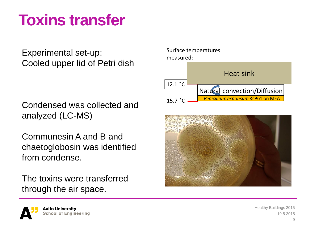### **Toxins transfer**

Experimental set-up: Cooled upper lid of Petri dish

Condensed was collected and analyzed (LC-MS)

Communesin A and B and chaetoglobosin was identified from condense.

The toxins were transferred through the air space.